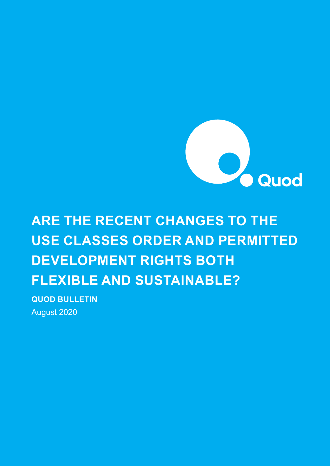

# **ARE THE RECENT CHANGES TO THE USE CLASSES ORDER AND PERMITTED DEVELOPMENT RIGHTS BOTH FLEXIBLE AND SUSTAINABLE?**

**QUOD BULLETIN**  August 2020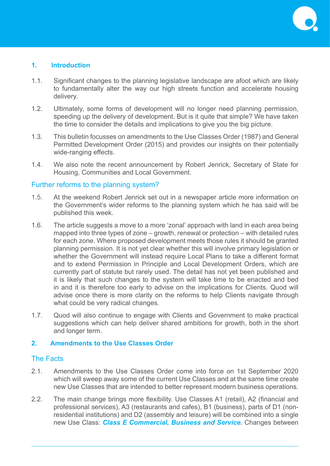

#### **1. Introduction**

- 1.1. Significant changes to the planning legislative landscape are afoot which are likely to fundamentally alter the way our high streets function and accelerate housing delivery.
- 1.2. Ultimately, some forms of development will no longer need planning permission, speeding up the delivery of development. But is it quite that simple? We have taken the time to consider the details and implications to give you the big picture.
- 1.3. This bulletin focusses on amendments to the Use Classes Order (1987) and General Permitted Development Order (2015) and provides our insights on their potentially wide-ranging effects.
- 1.4. We also note the recent announcement by Robert Jenrick, Secretary of State for Housing, Communities and Local Government.

#### Further reforms to the planning system?

- 1.5. At the weekend Robert Jenrick set out in a newspaper article more information on the Government's wider reforms to the planning system which he has said will be published this week.
- 1.6. The article suggests a move to a more 'zonal' approach with land in each area being mapped into three types of zone – growth, renewal or protection – with detailed rules for each zone. Where proposed development meets those rules it should be granted planning permission. It is not yet clear whether this will involve primary legislation or whether the Government will instead require Local Plans to take a different format and to extend Permission in Principle and Local Development Orders, which are currently part of statute but rarely used. The detail has not yet been published and it is likely that such changes to the system will take time to be enacted and bed in and it is therefore too early to advise on the implications for Clients. Quod will advise once there is more clarity on the reforms to help Clients navigate through what could be very radical changes.
- 1.7. Quod will also continue to engage with Clients and Government to make practical suggestions which can help deliver shared ambitions for growth, both in the short and longer term.

#### **2. Amendments to the Use Classes Order**

#### The Facts

- 2.1. Amendments to the Use Classes Order come into force on 1st September 2020 which will sweep away some of the current Use Classes and at the same time create new Use Classes that are intended to better represent modern business operations.
- 2.2. The main change brings more flexibility. Use Classes A1 (retail), A2 (financial and professional services), A3 (restaurants and cafes), B1 (business), parts of D1 (nonresidential institutions) and D2 (assembly and leisure) will be combined into a single new Use Class: *Class E Commercial, Business and Service.* Changes between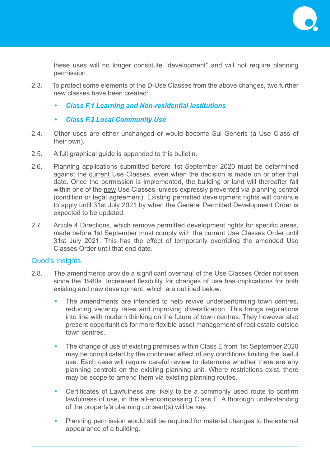these uses will no longer constitute "development" and will not require planning permission.

- 2.3. To protect some elements of the D-Use Classes from the above changes, two further new classes have been created:
	- **•** *Class F.1 Learning and Non-residential institutions*
	- **•** *Class F.2 Local Community Use*
- 2.4. Other uses are either unchanged or would become Sui Generis (a Use Class of their own).
- 2.5. A full graphical guide is appended to this bulletin.
- 2.6. Planning applications submitted before 1st September 2020 must be determined against the current Use Classes, even when the decision is made on or after that date. Once the permission is implemented, the building or land will thereafter fall within one of the new Use Classes, unless expressly prevented via planning control (condition or legal agreement). Existing permitted development rights will continue to apply until 31st July 2021 by when the General Permitted Development Order is expected to be updated.
- 2.7. Article 4 Directions, which remove permitted development rights for specific areas, made before 1st September must comply with the current Use Classes Order until 31st July 2021. This has the effect of temporarily overriding the amended Use Classes Order until that end date.

# Quod's Insights

- 2.8. The amendments provide a significant overhaul of the Use Classes Order not seen since the 1980s. Increased flexibility for changes of use has implications for both existing and new development, which are outlined below:
	- **•** The amendments are intended to help revive underperforming town centres, reducing vacancy rates and improving diversification. This brings regulations into line with modern thinking on the future of town centres. They however also present opportunities for more flexible asset management of real estate outside town centres.
	- **•** The change of use of existing premises within Class E from 1st September 2020 may be complicated by the continued effect of any conditions limiting the lawful use. Each case will require careful review to determine whether there are any planning controls on the existing planning unit. Where restrictions exist, there may be scope to amend them via existing planning routes.
	- **•** Certificates of Lawfulness are likely to be a commonly used route to confirm lawfulness of use, in the all-encompassing Class E. A thorough understanding of the property's planning consent(s) will be key.
	- **•** Planning permission would still be required for material changes to the external appearance of a building.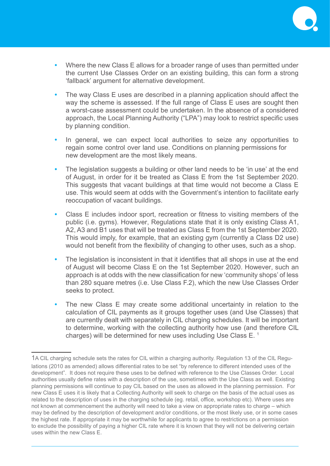

- **•** Where the new Class E allows for a broader range of uses than permitted under the current Use Classes Order on an existing building, this can form a strong 'fallback' argument for alternative development.
- The way Class E uses are described in a planning application should affect the way the scheme is assessed. If the full range of Class E uses are sought then a worst-case assessment could be undertaken. In the absence of a considered approach, the Local Planning Authority ("LPA") may look to restrict specific uses by planning condition.
- **•** In general, we can expect local authorities to seize any opportunities to regain some control over land use. Conditions on planning permissions for new development are the most likely means.
- **•** The legislation suggests a building or other land needs to be 'in use' at the end of August, in order for it be treated as Class E from the 1st September 2020. This suggests that vacant buildings at that time would not become a Class E use. This would seem at odds with the Government's intention to facilitate early reoccupation of vacant buildings.
- **Class E** includes indoor sport, recreation or fitness to visiting members of the public (i.e. gyms). However, Regulations state that it is only existing Class A1, A2, A3 and B1 uses that will be treated as Class E from the 1st September 2020. This would imply, for example, that an existing gym (currently a Class D2 use) would not benefit from the flexibility of changing to other uses, such as a shop.
- The legislation is inconsistent in that it identifies that all shops in use at the end of August will become Class E on the 1st September 2020. However, such an approach is at odds with the new classification for new 'community shops' of less than 280 square metres (i.e. Use Class F.2), which the new Use Classes Order seeks to protect.
- **•** The new Class E may create some additional uncertainty in relation to the calculation of CIL payments as it groups together uses (and Use Classes) that are currently dealt with separately in CIL charging schedules. It will be important to determine, working with the collecting authority how use (and therefore CIL charges) will be determined for new uses including Use Class E. <sup>1</sup>

<sup>1</sup>A CIL charging schedule sets the rates for CIL within a charging authority. Regulation 13 of the CIL Regulations (2010 as amended) allows differential rates to be set "by reference to different intended uses of the development". It does not require these uses to be defined with reference to the Use Classes Order. Local authorities usually define rates with a description of the use, sometimes with the Use Class as well. Existing planning permissions will continue to pay CIL based on the uses as allowed in the planning permission. For new Class E uses it is likely that a Collecting Authority will seek to charge on the basis of the actual uses as related to the description of uses in the charging schedule (eg. retail, office, workshop etc). Where uses are not known at commencement the authority will need to take a view on appropriate rates to charge – which may be defined by the description of development and/or conditions, or the most likely use, or in some cases the highest rate. If appropriate it may be worthwhile for applicants to agree to restrictions on a permission to exclude the possibility of paying a higher CIL rate where it is known that they will not be delivering certain uses within the new Class E.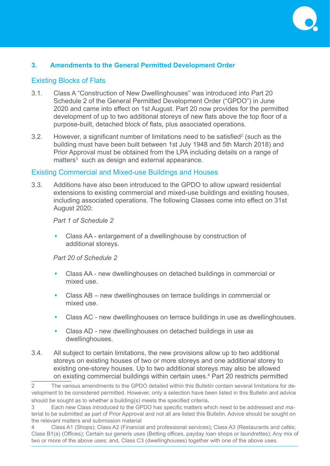

### **3. Amendments to the General Permitted Development Order**

### Existing Blocks of Flats

- 3.1. Class A "Construction of New Dwellinghouses" was introduced into Part 20 Schedule 2 of the General Permitted Development Order ("GPDO") in June 2020 and came into effect on 1st August. Part 20 now provides for the permitted development of up to two additional storeys of new flats above the top floor of a purpose-built, detached block of flats, plus associated operations.
- 3.2. However, a significant number of limitations need to be satisfied<sup>2</sup> (such as the building must have been built between 1st July 1948 and 5th March 2018) and Prior Approval must be obtained from the LPA including details on a range of matters<sup>3</sup> such as design and external appearance.

#### Existing Commercial and Mixed-use Buildings and Houses

3.3. Additions have also been introduced to the GPDO to allow upward residential extensions to existing commercial and mixed-use buildings and existing houses, including associated operations. The following Classes come into effect on 31st August 2020:

*Part 1 of Schedule 2*

**•** Class AA - enlargement of a dwellinghouse by construction of additional storeys.

 *Part 20 of Schedule 2*

- **•** Class AA new dwellinghouses on detached buildings in commercial or mixed use.
- **•** Class AB new dwellinghouses on terrace buildings in commercial or mixed use.
- **•** Class AC new dwellinghouses on terrace buildings in use as dwellinghouses.
- **•** Class AD new dwellinghouses on detached buildings in use as dwellinghouses.
- 3.4. All subject to certain limitations, the new provisions allow up to two additional storeys on existing houses of two or more storeys and one additional storey to existing one-storey houses. Up to two additional storeys may also be allowed on existing commercial buildings within certain uses.4 Part 20 restricts permitted

<sup>2</sup> The various amendments to the GPDO detailed within this Bulletin contain several limitations for development to be considered permitted. However, only a selection have been listed in this Bulletin and advice should be sought as to whether a building(s) meets the specified criteria.

<sup>3</sup> Each new Class introduced to the GPDO has specific matters which need to be addressed and material to be submitted as part of Prior Approval and not all are listed this Bulletin. Advice should be sought on the relevant matters and submission material

<sup>4</sup> Class A1 (Shops); Class A2 (Financial and professional services); Class A3 (Restaurants and cafés; Class B1(a) (Offices); Certain sui generis uses (Betting offices, payday loan shops or laundrettes); Any mix of two or more of the above uses; and, Class C3 (dwellinghouses) together with one of the above uses.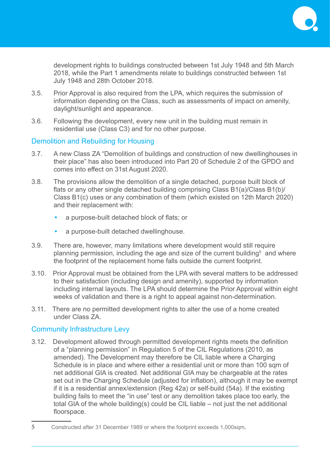

development rights to buildings constructed between 1st July 1948 and 5th March 2018, while the Part 1 amendments relate to buildings constructed between 1st July 1948 and 28th October 2018.

- 3.5. Prior Approval is also required from the LPA, which requires the submission of information depending on the Class, such as assessments of impact on amenity, daylight/sunlight and appearance.
- 3.6. Following the development, every new unit in the building must remain in residential use (Class C3) and for no other purpose.

## Demolition and Rebuilding for Housing

- 3.7. A new Class ZA "Demolition of buildings and construction of new dwellinghouses in their place" has also been introduced into Part 20 of Schedule 2 of the GPDO and comes into effect on 31st August 2020.
- 3.8. The provisions allow the demolition of a single detached, purpose built block of flats or any other single detached building comprising Class B1(a)/Class B1(b)/ Class B1(c) uses or any combination of them (which existed on 12th March 2020) and their replacement with:
	- **•** a purpose-built detached block of flats; or
	- **•** a purpose-built detached dwellinghouse.
- 3.9. There are, however, many limitations where development would still require planning permission, including the age and size of the current building $^5\,$  and where the footprint of the replacement home falls outside the current footprint.
- 3.10. Prior Approval must be obtained from the LPA with several matters to be addressed to their satisfaction (including design and amenity), supported by information including internal layouts. The LPA should determine the Prior Approval within eight weeks of validation and there is a right to appeal against non-determination.
- 3.11. There are no permitted development rights to alter the use of a home created under Class ZA.

#### Community Infrastructure Levy

3.12. Development allowed through permitted development rights meets the definition of a "planning permission" in Regulation 5 of the CIL Regulations (2010, as amended). The Development may therefore be CIL liable where a Charging Schedule is in place and where either a residential unit or more than 100 sqm of net additional GIA is created. Net additional GIA may be chargeable at the rates set out in the Charging Schedule (adjusted for inflation), although it may be exempt if it is a residential annex/extension (Reg 42a) or self-build (54a). If the existing building fails to meet the "in use" test or any demolition takes place too early, the total GIA of the whole building(s) could be CIL liable – not just the net additional floorspace.

<sup>5</sup> Constructed after 31 December 1989 or where the footprint exceeds 1,000sqm.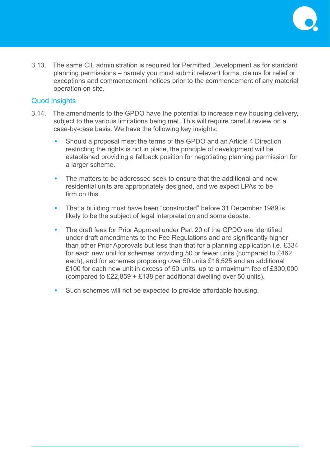3.13. The same CIL administration is required for Permitted Development as for standard planning permissions – namely you must submit relevant forms, claims for relief or exceptions and commencement notices prior to the commencement of any material operation on site.

### Quod Insights

- 3.14. The amendments to the GPDO have the potential to increase new housing delivery, subject to the various limitations being met. This will require careful review on a case-by-case basis. We have the following key insights:
	- **•** Should a proposal meet the terms of the GPDO and an Article 4 Direction restricting the rights is not in place, the principle of development will be established providing a fallback position for negotiating planning permission for a larger scheme.
	- **•** The matters to be addressed seek to ensure that the additional and new residential units are appropriately designed, and we expect LPAs to be firm on this.
	- **•** That a building must have been "constructed" before 31 December 1989 is likely to be the subject of legal interpretation and some debate.
	- **•** The draft fees for Prior Approval under Part 20 of the GPDO are identified under draft amendments to the Fee Regulations and are significantly higher than other Prior Approvals but less than that for a planning application i.e. £334 for each new unit for schemes providing 50 or fewer units (compared to £462 each), and for schemes proposing over 50 units £16,525 and an additional £100 for each new unit in excess of 50 units, up to a maximum fee of £300,000 (compared to  $£22,859 + £138$  per additional dwelling over 50 units).
	- **•** Such schemes will not be expected to provide affordable housing.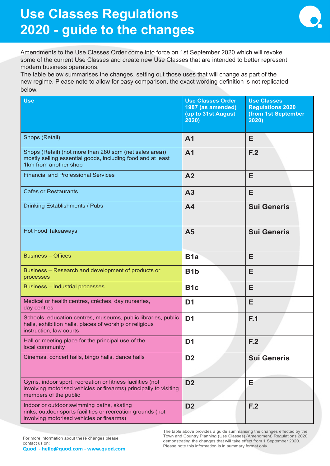# **Use Classes Regulations 2020 - guide to the changes**



Amendments to the Use Classes Order come into force on 1st September 2020 which will revoke some of the current Use Classes and create new Use Classes that are intended to better represent modern business operations.

The table below summarises the changes, setting out those uses that will change as part of the new regime. Please note to allow for easy comparison, the exact wording definition is not replicated below.

| <b>Use</b>                                                                                                                                              | <b>Use Classes Order</b><br>1987 (as amended)<br>(up to 31st August<br>2020) | <b>Use Classes</b><br><b>Regulations 2020</b><br>(from 1st September<br>2020) |
|---------------------------------------------------------------------------------------------------------------------------------------------------------|------------------------------------------------------------------------------|-------------------------------------------------------------------------------|
| Shops (Retail)                                                                                                                                          | A <sub>1</sub>                                                               | E                                                                             |
| Shops (Retail) (not more than 280 sqm (net sales area))<br>mostly selling essential goods, including food and at least<br>1km from another shop         | A <sub>1</sub>                                                               | F <sub>.2</sub>                                                               |
| <b>Financial and Professional Services</b>                                                                                                              | A <sub>2</sub>                                                               | Е                                                                             |
| <b>Cafes or Restaurants</b>                                                                                                                             | A <sub>3</sub>                                                               | Е                                                                             |
| <b>Drinking Establishments / Pubs</b>                                                                                                                   | A <sub>4</sub>                                                               | <b>Sui Generis</b>                                                            |
| <b>Hot Food Takeaways</b>                                                                                                                               | A <sub>5</sub>                                                               | <b>Sui Generis</b>                                                            |
| <b>Business - Offices</b>                                                                                                                               | B <sub>1</sub> a                                                             | E                                                                             |
| Business - Research and development of products or<br>processes                                                                                         | B <sub>1</sub> b                                                             | E                                                                             |
| <b>Business - Industrial processes</b>                                                                                                                  | B <sub>1c</sub>                                                              | E                                                                             |
| Medical or health centres, crèches, day nurseries,<br>day centres                                                                                       | D <sub>1</sub>                                                               | Е                                                                             |
| Schools, education centres, museums, public libraries, public<br>halls, exhibition halls, places of worship or religious<br>instruction, law courts     | D <sub>1</sub>                                                               | F.1                                                                           |
| Hall or meeting place for the principal use of the<br>local community                                                                                   | D <sub>1</sub>                                                               | F.2                                                                           |
| Cinemas, concert halls, bingo halls, dance halls                                                                                                        | D <sub>2</sub>                                                               | <b>Sui Generis</b>                                                            |
| Gyms, indoor sport, recreation or fitness facilities (not<br>involving motorised vehicles or firearms) principally to visiting<br>members of the public | D <sub>2</sub>                                                               | Е                                                                             |
| Indoor or outdoor swimming baths, skating<br>rinks, outdoor sports facilities or recreation grounds (not<br>involving motorised vehicles or firearms)   | D <sub>2</sub>                                                               | F.2                                                                           |

For more information about these changes please contact us on: **Quod - hello@quod.com - www.quod.com** The table above provides a guide summarising the changes effected by the Town and Country Planning (Use Classes) (Amendment) Regulations 2020, demonstrating the changes that will take effect from 1 September 2020. Please note this information is in summary format only.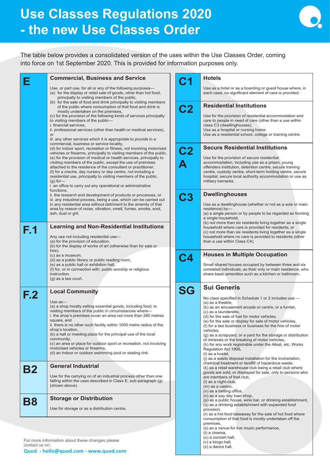# **Use Classes Regulations 2020 - the new Use Classes Order**



The table below provides a consolidated version of the uses within the Use Classes Order, coming into force on 1st September 2020. This is provided for information purposes only.

| F              | <b>Commercial, Business and Service</b><br>Use, or part use, for all or any of the following purposes—<br>(a) for the display or retail sale of goods, other than hot food,<br>principally to visiting members of the public,                                                                                                                                                                                                                                                                                                                                                                                  | C1             | <b>Hotels</b><br>Use as a hotel or as a boarding or guest house where, in<br>each case, no significant element of care is provided.                                                                                                                                                                                                                                                                                                                                                                                                                                                                                                                            |
|----------------|----------------------------------------------------------------------------------------------------------------------------------------------------------------------------------------------------------------------------------------------------------------------------------------------------------------------------------------------------------------------------------------------------------------------------------------------------------------------------------------------------------------------------------------------------------------------------------------------------------------|----------------|----------------------------------------------------------------------------------------------------------------------------------------------------------------------------------------------------------------------------------------------------------------------------------------------------------------------------------------------------------------------------------------------------------------------------------------------------------------------------------------------------------------------------------------------------------------------------------------------------------------------------------------------------------------|
|                | (b) for the sale of food and drink principally to visiting members<br>of the public where consumption of that food and drink is<br>mostly undertaken on the premises,<br>(c) for the provision of the following kinds of services principally<br>to visiting members of the public-<br>i. financial services,<br>ii. professional services (other than health or medical services),<br><b>or</b><br>iii. any other services which it is appropriate to provide in a                                                                                                                                            | C <sub>2</sub> | <b>Residential Institutions</b><br>Use for the provision of residential accommodation and<br>care to people in need of care (other than a use within<br>class C3 (dwellinghouses).<br>Use as a hospital or nursing home.<br>Use as a residential school, college or training centre.                                                                                                                                                                                                                                                                                                                                                                           |
|                | commercial, business or service locality,<br>(d) for indoor sport, recreation or fitness, not involving motorised<br>vehicles or firearms, principally to visiting members of the public,<br>(e) for the provision of medical or health services, principally to<br>visiting members of the public, except the use of premises<br>attached to the residence of the consultant or practitioner,<br>(f) for a creche, day nursery or day centre, not including a<br>residential use, principally to visiting members of the public,<br>$(g)$ for-<br>i. an office to carry out any operational or administrative | C <sub>2</sub> | <b>Secure Residential Institutions</b><br>Use for the provision of secure residential<br>accommodation, including use as a prison, young<br>offenders institution, detention centre, secure training<br>centre, custody centre, short-term holding centre, secure<br>hospital, secure local authority accommodation or use as<br>military barracks.                                                                                                                                                                                                                                                                                                            |
|                | functions,<br>ii. the research and development of products or processes, or<br>iii. any industrial process, being a use, which can be carried out<br>in any residential area without detriment to the amenity of that<br>area by reason of noise, vibration, smell, fumes, smoke, soot,<br>ash, dust or grit.                                                                                                                                                                                                                                                                                                  | $\bf C3$       | <b>Dwellinghouses</b><br>Use as a dwellinghouse (whether or not as a sole or main<br>residence) by-<br>(a) a single person or by people to be regarded as forming<br>a single household;                                                                                                                                                                                                                                                                                                                                                                                                                                                                       |
| F <sub>1</sub> | <b>Learning and Non-Residential Institutions</b><br>Any use not including residential use-<br>(a) for the provision of education,<br>(b) for the display of works of art (otherwise than for sale or<br>hire),                                                                                                                                                                                                                                                                                                                                                                                                 |                | (b) not more than six residents living together as a single<br>household where care is provided for residents; or<br>(c) not more than six residents living together as a single<br>household where no care is provided to residents (other<br>than a use within Class C4).                                                                                                                                                                                                                                                                                                                                                                                    |
|                | (c) as a museum,<br>(d) as a public library or public reading room,<br>(e) as a public hall or exhibition hall,<br>(f) for, or in connection with, public worship or religious<br>instruction,<br>$(g)$ as a law court.                                                                                                                                                                                                                                                                                                                                                                                        | C <sub>4</sub> | <b>Houses in Multiple Occupation</b><br>Small shared houses occupied by between three and six<br>unrelated individuals, as their only or main residence, who<br>share basic amenities such as a kitchen or bathroom.                                                                                                                                                                                                                                                                                                                                                                                                                                           |
| F <sub>2</sub> | <b>Local Community</b><br>Use $as$ —<br>(a) a shop mostly selling essential goods, including food, to<br>visiting members of the public in circumstances where-<br>i. the shop's premises cover an area not more than 280 metres<br>square, and<br>ii. there is no other such facility within 1000 metre radius of the<br>shop's location,<br>(b) a hall or meeting place for the principal use of the local<br>community,<br>(c) an area or place for outdoor sport or recreation, not involving<br>motorised vehicles or firearms,<br>(d) an indoor or outdoor swimming pool or skating rink.                | <b>SG</b>      | <b>Sui Generis</b><br>No class specified in Schedule 1 or 2 includes use -<br>(a) as a theatre,<br>(b) as an amusement arcade or centre, or a funfair,<br>(c) as a launderette,<br>(d) for the sale of fuel for motor vehicles,<br>(e) for the sale or display for sale of motor vehicles,<br>(f) for a taxi business or business for the hire of motor<br>vehicles.<br>(g) as a scrapyard, or a yard for the storage or distribution<br>of minerals or the breaking of motor vehicles,<br>(h) for any work registrable under the Alkali, etc. Works<br>Regulation Act 1906,<br>(i) as a hostel,<br>(j) as a waste disposal installation for the incineration, |
| <b>B2</b>      | <b>General Industrial</b><br>Use for the carrying on of an industrial process other than one<br>falling within the uses described in Class E, sub-paragraph (g)<br>(shown above).                                                                                                                                                                                                                                                                                                                                                                                                                              |                | chemical treatment or landfill of hazardous waste,<br>(k) as a retail warehouse club being a retail club where<br>goods are sold, or displayed for sale, only to persons who<br>are members of that club,<br>(I) as a night-club,<br>(m) as a casino,<br>(n) as a betting office,                                                                                                                                                                                                                                                                                                                                                                              |
| <b>B8</b>      | <b>Storage or Distribution</b><br>Use for storage or as a distribution centre.                                                                                                                                                                                                                                                                                                                                                                                                                                                                                                                                 |                | (o) as a pay day loan shop,<br>(p) as a public house, wine bar, or drinking establishment,<br>(q) as a drinking establishment with expanded food<br>provision,<br>(r) as a hot food takeaway for the sale of hot food where                                                                                                                                                                                                                                                                                                                                                                                                                                    |
| contact us on: | For more information about these changes please<br>Quod - hello@quod.com - www.quod.com                                                                                                                                                                                                                                                                                                                                                                                                                                                                                                                        |                | consumption of that food is mostly undertaken off the<br>premises,<br>(s) as a venue for live music performance,<br>(t) a cinema,<br>(u) a concert hall,<br>(v) a bingo hall,<br>$(x)$ a dance hall.                                                                                                                                                                                                                                                                                                                                                                                                                                                           |